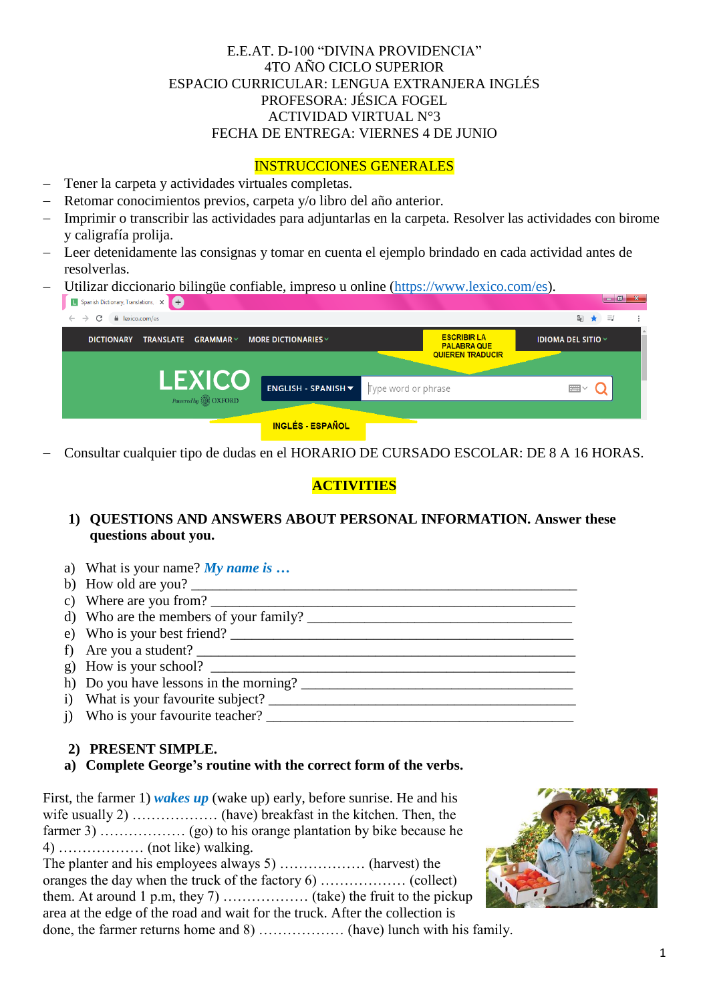## E.E.AT. D-100 "DIVINA PROVIDENCIA" 4TO AÑO CICLO SUPERIOR ESPACIO CURRICULAR: LENGUA EXTRANJERA INGLÉS PROFESORA: JÉSICA FOGEL ACTIVIDAD VIRTUAL N°3 FECHA DE ENTREGA: VIERNES 4 DE JUNIO

### INSTRUCCIONES GENERALES

- Tener la carpeta y actividades virtuales completas.
- Retomar conocimientos previos, carpeta y/o libro del año anterior.
- Imprimir o transcribir las actividades para adjuntarlas en la carpeta. Resolver las actividades con birome y caligrafía prolija.
- Leer detenidamente las consignas y tomar en cuenta el ejemplo brindado en cada actividad antes de resolverlas.
- Utilizar diccionario bilingüe confiable, impreso u online [\(https://www.lexico.com/es\)](https://www.lexico.com/es).

| ຼ<br>L Spanish Dictionary, Translations, X +            |                                                          |                                                                     | $\begin{array}{c c c c c} \hline \multicolumn{1}{ c }{\multicolumn{1}{c }{\multicolumn{1}{c }{\multicolumn{1}{c }{\multicolumn{1}{c}}}} & \multicolumn{1}{c }{\multicolumn{1}{c }{\multicolumn{1}{c }{\multicolumn{1}{c}}}} & \multicolumn{1}{c }{\multicolumn{1}{c }{\multicolumn{1}{c }{\multicolumn{1}{c }{\multicolumn{1}{c}}}} & \multicolumn{1}{c }{\multicolumn{1}{c }{\multicolumn{1}{c }{\multicolumn{1}{c }{\multicolumn{1}{c }{\multicolumn{1}{c$ |
|---------------------------------------------------------|----------------------------------------------------------|---------------------------------------------------------------------|--------------------------------------------------------------------------------------------------------------------------------------------------------------------------------------------------------------------------------------------------------------------------------------------------------------------------------------------------------------------------------------------------------------------------------------------------------------|
| C<br>lexico.com/es<br>$\leftarrow$ $\rightarrow$        |                                                          |                                                                     | ΞJ<br>$\mathbb{Z}_{\mathbb{K}}$                                                                                                                                                                                                                                                                                                                                                                                                                              |
| <b>DICTIONARY</b><br>$GRAMMAR \vee$<br><b>TRANSLATE</b> | <b>MORE DICTIONARIES</b> $\vee$                          | <b>ESCRIBIR LA</b><br><b>PALABRA QUE</b><br><b>QUIEREN TRADUCIR</b> | <b>IDIOMA DEL SITIO <math>\vee</math></b>                                                                                                                                                                                                                                                                                                                                                                                                                    |
|                                                         |                                                          |                                                                     |                                                                                                                                                                                                                                                                                                                                                                                                                                                              |
| <b>LEXICO</b><br>Powered by <b>B</b> OXFORD             | <b>ENGLISH - SPANISH <math>\blacktriangledown</math></b> | Type word or phrase                                                 | ₩∨                                                                                                                                                                                                                                                                                                                                                                                                                                                           |
|                                                         |                                                          |                                                                     |                                                                                                                                                                                                                                                                                                                                                                                                                                                              |
|                                                         | <b>INGLÉS - ESPAÑOL</b>                                  |                                                                     |                                                                                                                                                                                                                                                                                                                                                                                                                                                              |

Consultar cualquier tipo de dudas en el HORARIO DE CURSADO ESCOLAR: DE 8 A 16 HORAS.

# **ACTIVITIES**

# **1) QUESTIONS AND ANSWERS ABOUT PERSONAL INFORMATION. Answer these questions about you.**

- a) What is your name? *My name is …*
- b) How old are you?
- c) Where are you from?  $\frac{1}{2}$  =  $\frac{1}{2}$  =  $\frac{1}{2}$  =  $\frac{1}{2}$  =  $\frac{1}{2}$  =  $\frac{1}{2}$  =  $\frac{1}{2}$  =  $\frac{1}{2}$  =  $\frac{1}{2}$  =  $\frac{1}{2}$  =  $\frac{1}{2}$  =  $\frac{1}{2}$  =  $\frac{1}{2}$  =  $\frac{1}{2}$  =  $\frac{1}{2}$  =  $\frac{1}{2}$  =  $\frac{1}{$
- d) Who are the members of your family? \_\_\_\_\_\_\_\_\_\_\_\_\_\_\_\_\_\_\_\_\_\_\_\_\_\_\_\_\_\_\_\_\_\_\_\_\_
- e) Who is your best friend?
- f) Are you a student?
- g) How is your school?
- h) Do you have lessons in the morning?
- i) What is your favourite subject? \_\_\_\_\_\_\_\_\_\_\_\_\_\_\_\_\_\_\_\_\_\_\_\_\_\_\_\_\_\_\_\_\_\_\_\_\_\_\_\_\_\_\_
- j) Who is your favourite teacher?

#### **2) PRESENT SIMPLE.**

#### **a) Complete George's routine with the correct form of the verbs.**

First, the farmer 1) *wakes up* (wake up) early, before sunrise. He and his wife usually 2) ……………… (have) breakfast in the kitchen. Then, the farmer 3) ……………… (go) to his orange plantation by bike because he 4)  $\ldots$  (not like) walking. The planter and his employees always 5) ……………… (harvest) the

oranges the day when the truck of the factory 6) ……………… (collect) them. At around 1 p.m, they 7) ……………… (take) the fruit to the pickup area at the edge of the road and wait for the truck. After the collection is done, the farmer returns home and 8) ……………… (have) lunch with his family.

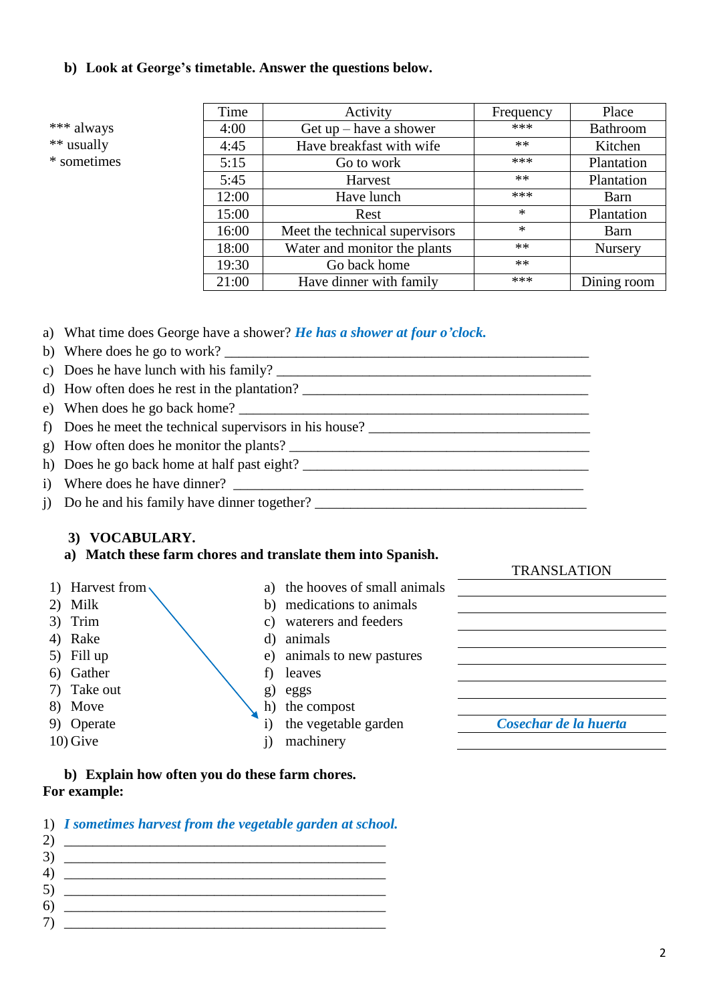#### **b) Look at George's timetable. Answer the questions below.**

\*\*\* always \*\* usually

\* sometimes

| Time  | Activity                       | Frequency | Place           |
|-------|--------------------------------|-----------|-----------------|
| 4:00  | Get $up$ – have a shower       | ***       | <b>Bathroom</b> |
| 4:45  | Have breakfast with wife       | $**$      | Kitchen         |
| 5:15  | Go to work                     | ***       | Plantation      |
| 5:45  | Harvest                        | $**$      | Plantation      |
| 12:00 | Have lunch                     | ***       | Barn            |
| 15:00 | Rest                           | $\ast$    | Plantation      |
| 16:00 | Meet the technical supervisors | $\ast$    | Barn            |
| 18:00 | Water and monitor the plants   | $**$      | <b>Nursery</b>  |
| 19:30 | Go back home                   | $**$      |                 |
| 21:00 | Have dinner with family        | ***       | Dining room     |

- a) What time does George have a shower? *He has a shower at four o'clock.*
- b) Where does he go to work?  $\Box$
- c) Does he have lunch with his family?  $\frac{1}{\sqrt{1-\frac{1}{\sqrt{1-\frac{1}{\sqrt{1-\frac{1}{\sqrt{1-\frac{1}{\sqrt{1-\frac{1}{\sqrt{1-\frac{1}{\sqrt{1-\frac{1}{\sqrt{1-\frac{1}{\sqrt{1-\frac{1}{\sqrt{1-\frac{1}{\sqrt{1-\frac{1}{\sqrt{1-\frac{1}{\sqrt{1-\frac{1}{\sqrt{1-\frac{1}{\sqrt{1-\frac{1}{\sqrt{1-\frac{1}{\sqrt{1-\frac{1}{\sqrt{1-\frac{1}{\sqrt{1-\frac{1}{\sqrt{1-\$
- d) How often does he rest in the plantation?
- e) When does he go back home?
- f) Does he meet the technical supervisors in his house?
- g) How often does he monitor the plants?
- h) Does he go back home at half past eight?
- i) Where does he have dinner?
- j) Do he and his family have dinner together?

#### **3) VOCABULARY.**

#### **a) Match these farm chores and translate them into Spanish.**

- 
- 
- 
- 4) Rake d) animals
- 
- 6) Gather f) leaves
- 7) Take out g) eggs
- 
- 
- 
- 1) Harvest from a) the hooves of small animals 2) Milk b) medications to animals
- 3) Trim c) waterers and feeders
	-
- 5) Fill up e) animals to new pastures
	-
	-
- 8) Move h) the compost
	-
- 10) Give i) machinery

9) Operate i) the vegetable garden *Cosechar de la huerta*

TRANSLATION

**b) Explain how often you do these farm chores. For example:** 

1) *I sometimes harvest from the vegetable garden at school.* 

|   | the control of the control of the control of the control of the control of the control of                                                                                                                                         |
|---|-----------------------------------------------------------------------------------------------------------------------------------------------------------------------------------------------------------------------------------|
|   | e de la construcción de la construcción de la construcción de la construcción de la construcción de la construcción<br>En la construcción de la construcción de la construcción de la construcción de la construcción de la const |
|   | $\frac{1}{2}$                                                                                                                                                                                                                     |
|   | <u> 1980 - Johann Barn, mars et al. (b. 1980)</u>                                                                                                                                                                                 |
| h | $\mathbf{0}$ and $\mathbf{0}$ and $\mathbf{0}$ and $\mathbf{0}$ and $\mathbf{0}$                                                                                                                                                  |
|   |                                                                                                                                                                                                                                   |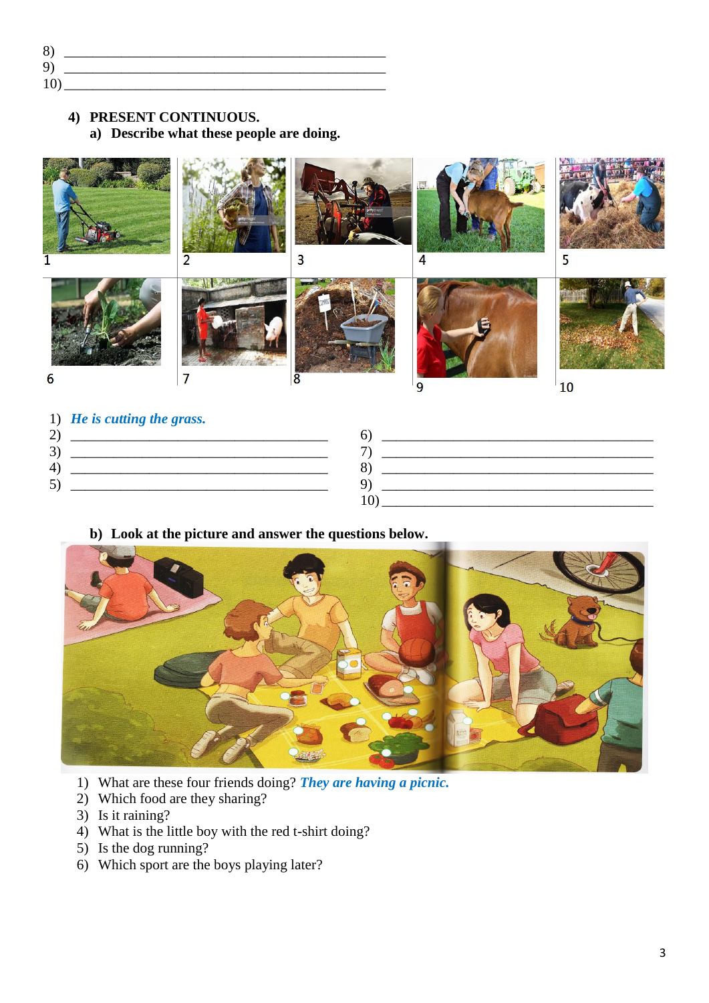8) *\_\_\_\_\_\_\_\_\_\_\_\_\_\_\_\_\_\_\_\_\_\_\_\_\_\_\_\_\_\_\_\_\_\_\_\_\_\_\_\_\_\_\_\_\_* 9) *\_\_\_\_\_\_\_\_\_\_\_\_\_\_\_\_\_\_\_\_\_\_\_\_\_\_\_\_\_\_\_\_\_\_\_\_\_\_\_\_\_\_\_\_\_* 10) *\_\_\_\_\_\_\_\_\_\_\_\_\_\_\_\_\_\_\_\_\_\_\_\_\_\_\_\_\_\_\_\_\_\_\_\_\_\_\_\_\_\_\_\_\_*

# **4) PRESENT CONTINUOUS.**

## **a) Describe what these people are doing.**



- 1) *He is cutting the grass.*
- 2) *\_\_\_\_\_\_\_\_\_\_\_\_\_\_\_\_\_\_\_\_\_\_\_\_\_\_\_\_\_\_\_\_\_\_\_\_* 3) *\_\_\_\_\_\_\_\_\_\_\_\_\_\_\_\_\_\_\_\_\_\_\_\_\_\_\_\_\_\_\_\_\_\_\_\_* 4) *\_\_\_\_\_\_\_\_\_\_\_\_\_\_\_\_\_\_\_\_\_\_\_\_\_\_\_\_\_\_\_\_\_\_\_\_* 5) *\_\_\_\_\_\_\_\_\_\_\_\_\_\_\_\_\_\_\_\_\_\_\_\_\_\_\_\_\_\_\_\_\_\_\_\_* 6) *\_\_\_\_\_\_\_\_\_\_\_\_\_\_\_\_\_\_\_\_\_\_\_\_\_\_\_\_\_\_\_\_\_\_\_\_\_\_* 7) *\_\_\_\_\_\_\_\_\_\_\_\_\_\_\_\_\_\_\_\_\_\_\_\_\_\_\_\_\_\_\_\_\_\_\_\_\_\_* 8) *\_\_\_\_\_\_\_\_\_\_\_\_\_\_\_\_\_\_\_\_\_\_\_\_\_\_\_\_\_\_\_\_\_\_\_\_\_\_* 9) *\_\_\_\_\_\_\_\_\_\_\_\_\_\_\_\_\_\_\_\_\_\_\_\_\_\_\_\_\_\_\_\_\_\_\_\_\_\_* 10) *\_\_\_\_\_\_\_\_\_\_\_\_\_\_\_\_\_\_\_\_\_\_\_\_\_\_\_\_\_\_\_\_\_\_\_\_\_\_*

#### **b) Look at the picture and answer the questions below.**



- 1) What are these four friends doing? *They are having a picnic.*
- 2) Which food are they sharing?
- 3) Is it raining?
- 4) What is the little boy with the red t-shirt doing?
- 5) Is the dog running?
- 6) Which sport are the boys playing later?